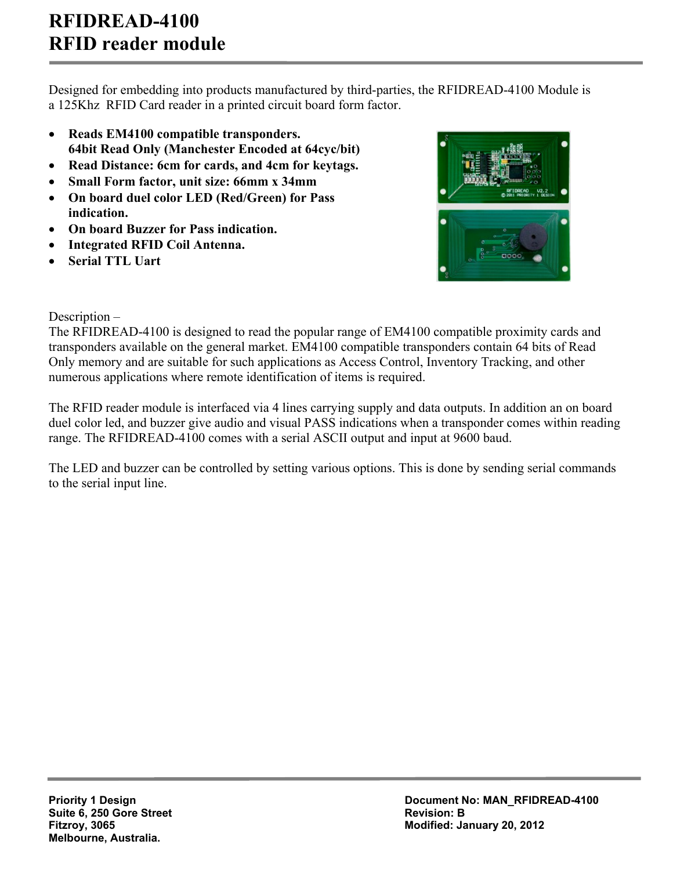Designed for embedding into products manufactured by third-parties, the RFIDREAD-4100 Module is a 125Khz RFID Card reader in a printed circuit board form factor.

- **Reads EM4100 compatible transponders. 64bit Read Only (Manchester Encoded at 64cyc/bit)**
- **Read Distance: 6cm for cards, and 4cm for keytags.**
- **Small Form factor, unit size: 66mm x 34mm**
- **On board duel color LED (Red/Green) for Pass indication.**
- **On board Buzzer for Pass indication.**
- **Integrated RFID Coil Antenna.**
- **Serial TTL Uart**



Description –

The RFIDREAD-4100 is designed to read the popular range of EM4100 compatible proximity cards and transponders available on the general market. EM4100 compatible transponders contain 64 bits of Read Only memory and are suitable for such applications as Access Control, Inventory Tracking, and other numerous applications where remote identification of items is required.

The RFID reader module is interfaced via 4 lines carrying supply and data outputs. In addition an on board duel color led, and buzzer give audio and visual PASS indications when a transponder comes within reading range. The RFIDREAD-4100 comes with a serial ASCII output and input at 9600 baud.

The LED and buzzer can be controlled by setting various options. This is done by sending serial commands to the serial input line.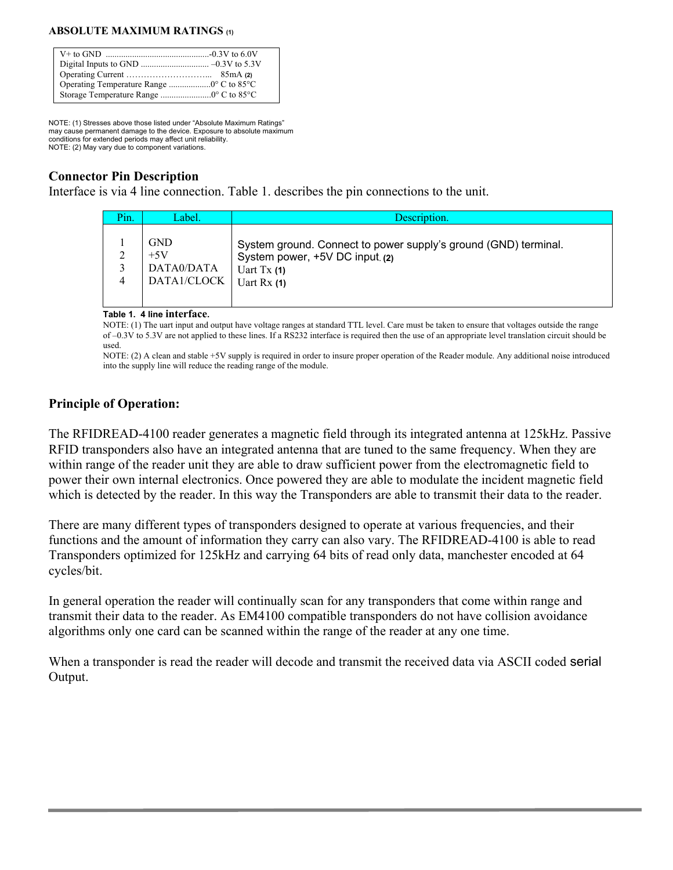#### **ABSOLUTE MAXIMUM RATINGS (1)**

NOTE: (1) Stresses above those listed under "Absolute Maximum Ratings" may cause permanent damage to the device. Exposure to absolute maximum conditions for extended periods may affect unit reliability. NOTE: (2) May vary due to component variations.

# **Connector Pin Description**

Interface is via 4 line connection. Table 1. describes the pin connections to the unit.

| P <sub>1n</sub> | Label.                                           | Description.                                                                                                                       |
|-----------------|--------------------------------------------------|------------------------------------------------------------------------------------------------------------------------------------|
| 4               | <b>GND</b><br>$+5V$<br>DATA0/DATA<br>DATA1/CLOCK | System ground. Connect to power supply's ground (GND) terminal.<br>System power, +5V DC input. (2)<br>Uart $Tx(1)$<br>Uart $Rx(1)$ |

#### **Table 1. 4 line interface.**

NOTE: (1) The uart input and output have voltage ranges at standard TTL level. Care must be taken to ensure that voltages outside the range of –0.3V to 5.3V are not applied to these lines. If a RS232 interface is required then the use of an appropriate level translation circuit should be used.

NOTE: (2) A clean and stable +5V supply is required in order to insure proper operation of the Reader module. Any additional noise introduced into the supply line will reduce the reading range of the module.

# **Principle of Operation:**

The RFIDREAD-4100 reader generates a magnetic field through its integrated antenna at 125kHz. Passive RFID transponders also have an integrated antenna that are tuned to the same frequency. When they are within range of the reader unit they are able to draw sufficient power from the electromagnetic field to power their own internal electronics. Once powered they are able to modulate the incident magnetic field which is detected by the reader. In this way the Transponders are able to transmit their data to the reader.

There are many different types of transponders designed to operate at various frequencies, and their functions and the amount of information they carry can also vary. The RFIDREAD-4100 is able to read Transponders optimized for 125kHz and carrying 64 bits of read only data, manchester encoded at 64 cycles/bit.

In general operation the reader will continually scan for any transponders that come within range and transmit their data to the reader. As EM4100 compatible transponders do not have collision avoidance algorithms only one card can be scanned within the range of the reader at any one time.

When a transponder is read the reader will decode and transmit the received data via ASCII coded serial Output.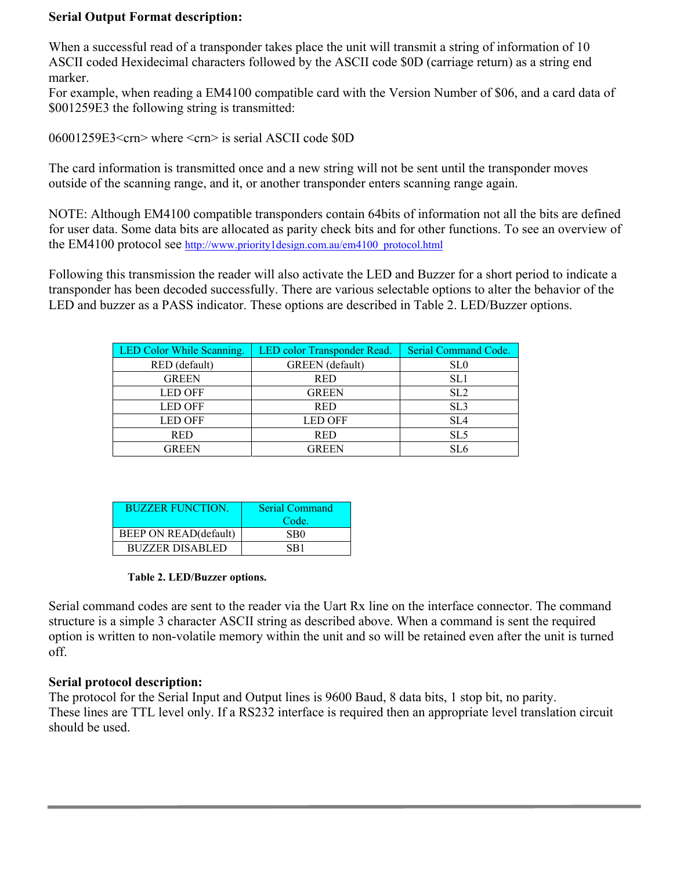# **Serial Output Format description:**

When a successful read of a transponder takes place the unit will transmit a string of information of 10 ASCII coded Hexidecimal characters followed by the ASCII code \$0D (carriage return) as a string end marker.

For example, when reading a EM4100 compatible card with the Version Number of \$06, and a card data of \$001259E3 the following string is transmitted:

06001259E3<crn> where <crn> is serial ASCII code \$0D

The card information is transmitted once and a new string will not be sent until the transponder moves outside of the scanning range, and it, or another transponder enters scanning range again.

NOTE: Although EM4100 compatible transponders contain 64bits of information not all the bits are defined for user data. Some data bits are allocated as parity check bits and for other functions. To see an overview of the EM4100 protocol see http://www.priority1design.com.au/em4100\_protocol.html

Following this transmission the reader will also activate the LED and Buzzer for a short period to indicate a transponder has been decoded successfully. There are various selectable options to alter the behavior of the LED and buzzer as a PASS indicator. These options are described in Table 2. LED/Buzzer options.

| LED Color While Scanning. | LED color Transponder Read. | Serial Command Code. |
|---------------------------|-----------------------------|----------------------|
| RED (default)             | <b>GREEN</b> (default)      | SL <sub>0</sub>      |
| <b>GREEN</b>              | <b>RED</b>                  | SL <sub>1</sub>      |
| <b>LED OFF</b>            | <b>GREEN</b>                | SL <sub>2</sub>      |
| <b>LED OFF</b>            | <b>RED</b>                  | SL <sub>3</sub>      |
| <b>LED OFF</b>            | <b>LED OFF</b>              | SL <sub>4</sub>      |
| <b>RED</b>                | <b>RED</b>                  | SL <sub>5</sub>      |
| GREEN                     | <b>GREEN</b>                | SL 6                 |

| <b>BUZZER FUNCTION</b>       | <b>Serial Command</b><br>Code. |
|------------------------------|--------------------------------|
| <b>BEEP ON READ(default)</b> | S <sub>R0</sub>                |
| <b>BUZZER DISABLED</b>       | S <sub>R</sub> 1               |

#### **Table 2. LED/Buzzer options.**

Serial command codes are sent to the reader via the Uart Rx line on the interface connector. The command structure is a simple 3 character ASCII string as described above. When a command is sent the required option is written to non-volatile memory within the unit and so will be retained even after the unit is turned off.

### **Serial protocol description:**

The protocol for the Serial Input and Output lines is 9600 Baud, 8 data bits, 1 stop bit, no parity. These lines are TTL level only. If a RS232 interface is required then an appropriate level translation circuit should be used.